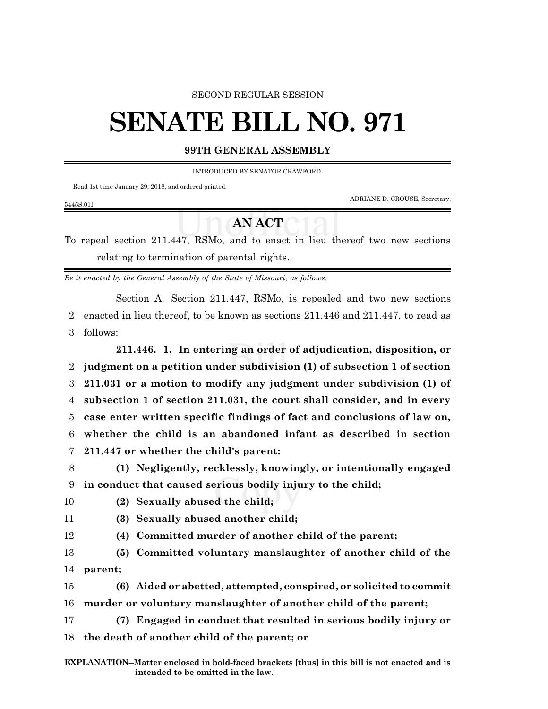### SECOND REGULAR SESSION

# **SENATE BILL NO. 971**

## **99TH GENERAL ASSEMBLY**

INTRODUCED BY SENATOR CRAWFORD.

Read 1st time January 29, 2018, and ordered printed.

ADRIANE D. CROUSE, Secretary.

#### 5445S.01I

## **AN ACT**

To repeal section 211.447, RSMo, and to enact in lieu thereof two new sections relating to termination of parental rights.

*Be it enacted by the General Assembly of the State of Missouri, as follows:*

Section A. Section 211.447, RSMo, is repealed and two new sections 2 enacted in lieu thereof, to be known as sections 211.446 and 211.447, to read as 3 follows:

**211.446. 1. In entering an order of adjudication, disposition, or judgment on a petition under subdivision (1) of subsection 1 of section 211.031 or a motion to modify any judgment under subdivision (1) of subsection 1 of section 211.031, the court shall consider, and in every case enter written specific findings of fact and conclusions of law on, whether the child is an abandoned infant as described in section 211.447 or whether the child's parent:**

8 **(1) Negligently, recklessly, knowingly, or intentionally engaged** 9 **in conduct that caused serious bodily injury to the child;**

10 **(2) Sexually abused the child;**

- 11 **(3) Sexually abused another child;**
- 

12 **(4) Committed murder of another child of the parent;**

13 **(5) Committed voluntary manslaughter of another child of the** 14 **parent;**

15 **(6) Aided or abetted, attempted, conspired, or solicited to commit**

16 **murder or voluntary manslaughter of another child of the parent;**

17 **(7) Engaged in conduct that resulted in serious bodily injury or** 18 **the death of another child of the parent; or**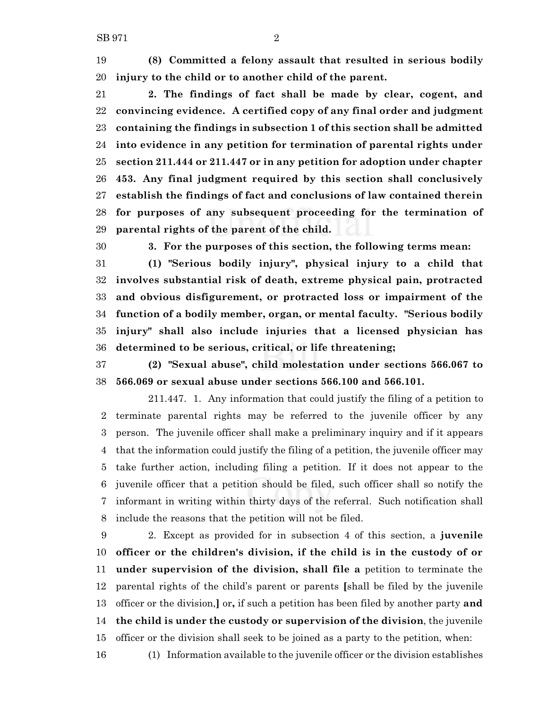**(8) Committed a felony assault that resulted in serious bodily injury to the child or to another child of the parent.**

 **2. The findings of fact shall be made by clear, cogent, and convincing evidence. A certified copy of any final order and judgment containing the findings in subsection 1 of this section shall be admitted into evidence in any petition for termination of parental rights under section 211.444 or 211.447 or in any petition for adoption under chapter 453. Any final judgment required by this section shall conclusively establish the findings of fact and conclusions of law contained therein for purposes of any subsequent proceeding for the termination of parental rights of the parent of the child.**

**3. For the purposes of this section, the following terms mean:**

 **(1) "Serious bodily injury", physical injury to a child that involves substantial risk of death, extreme physical pain, protracted and obvious disfigurement, or protracted loss or impairment of the function of a bodily member, organ, or mental faculty. "Serious bodily injury" shall also include injuries that a licensed physician has determined to be serious, critical, or life threatening;**

 **(2) "Sexual abuse", child molestation under sections 566.067 to 566.069 or sexual abuse under sections 566.100 and 566.101.**

211.447. 1. Any information that could justify the filing of a petition to terminate parental rights may be referred to the juvenile officer by any person. The juvenile officer shall make a preliminary inquiry and if it appears that the information could justify the filing of a petition, the juvenile officer may take further action, including filing a petition. If it does not appear to the juvenile officer that a petition should be filed, such officer shall so notify the informant in writing within thirty days of the referral. Such notification shall include the reasons that the petition will not be filed.

 2. Except as provided for in subsection 4 of this section, a **juvenile officer or the children's division, if the child is in the custody of or under supervision of the division, shall file a** petition to terminate the parental rights of the child's parent or parents **[**shall be filed by the juvenile officer or the division,**]** or**,** if such a petition has been filed by another party **and the child is under the custody or supervision of the division**, the juvenile officer or the division shall seek to be joined as a party to the petition, when:

(1) Information available to the juvenile officer or the division establishes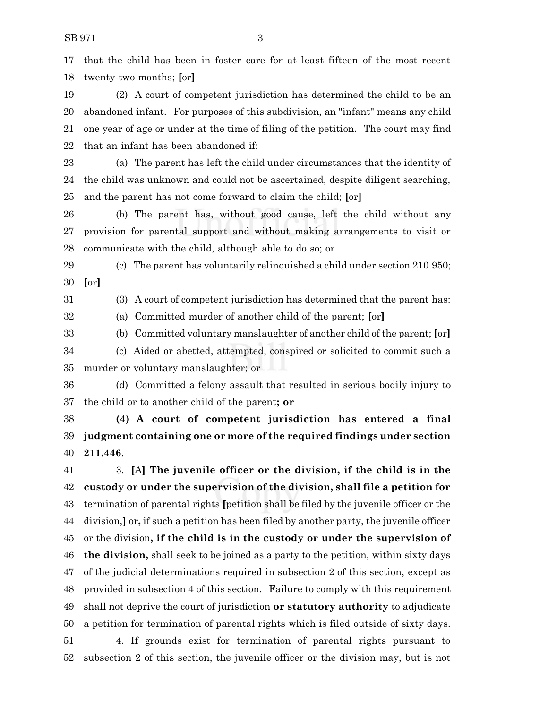that the child has been in foster care for at least fifteen of the most recent twenty-two months; **[**or**]**

 (2) A court of competent jurisdiction has determined the child to be an abandoned infant. For purposes of this subdivision, an "infant" means any child one year of age or under at the time of filing of the petition. The court may find that an infant has been abandoned if:

 (a) The parent has left the child under circumstances that the identity of the child was unknown and could not be ascertained, despite diligent searching, and the parent has not come forward to claim the child; **[**or**]**

 (b) The parent has, without good cause, left the child without any provision for parental support and without making arrangements to visit or communicate with the child, although able to do so; or

 (c) The parent has voluntarily relinquished a child under section 210.950; **[**or**]**

(3) A court of competent jurisdiction has determined that the parent has:

(a) Committed murder of another child of the parent; **[**or**]**

 (b) Committed voluntary manslaughter of another child of the parent; **[**or**]** (c) Aided or abetted, attempted, conspired or solicited to commit such a murder or voluntary manslaughter; or

 (d) Committed a felony assault that resulted in serious bodily injury to the child or to another child of the parent**; or**

 **(4) A court of competent jurisdiction has entered a final judgment containing one or more of the required findings under section 211.446**.

 3. **[**A**] The juvenile officer or the division, if the child is in the custody or under the supervision of the division, shall file a petition for** termination of parental rights **[**petition shall be filed by the juvenile officer or the division,**]** or**,** if such a petition has been filed by another party, the juvenile officer or the division**, if the child is in the custody or under the supervision of the division,** shall seek to be joined as a party to the petition, within sixty days of the judicial determinations required in subsection 2 of this section, except as provided in subsection 4 of this section. Failure to comply with this requirement shall not deprive the court of jurisdiction **or statutory authority** to adjudicate a petition for termination of parental rights which is filed outside of sixty days. 4. If grounds exist for termination of parental rights pursuant to subsection 2 of this section, the juvenile officer or the division may, but is not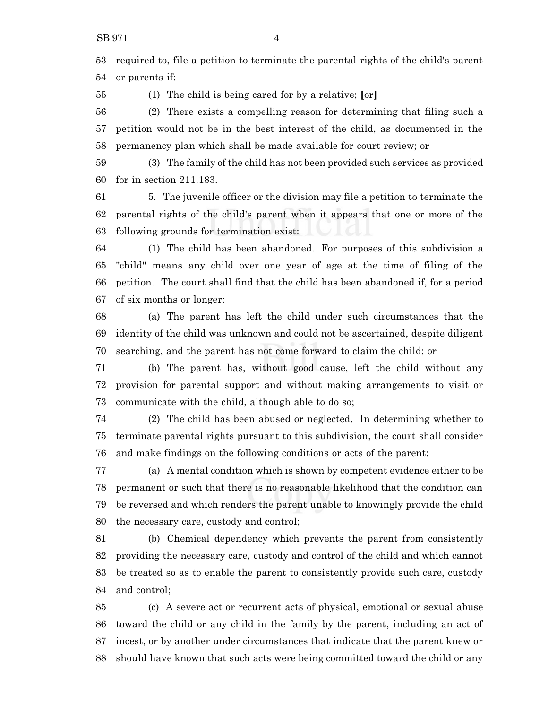required to, file a petition to terminate the parental rights of the child's parent or parents if:

(1) The child is being cared for by a relative; **[**or**]**

 (2) There exists a compelling reason for determining that filing such a petition would not be in the best interest of the child, as documented in the permanency plan which shall be made available for court review; or

 (3) The family of the child has not been provided such services as provided for in section 211.183.

 5. The juvenile officer or the division may file a petition to terminate the parental rights of the child's parent when it appears that one or more of the following grounds for termination exist:

 (1) The child has been abandoned. For purposes of this subdivision a "child" means any child over one year of age at the time of filing of the petition. The court shall find that the child has been abandoned if, for a period of six months or longer:

 (a) The parent has left the child under such circumstances that the identity of the child was unknown and could not be ascertained, despite diligent searching, and the parent has not come forward to claim the child; or

 (b) The parent has, without good cause, left the child without any provision for parental support and without making arrangements to visit or communicate with the child, although able to do so;

 (2) The child has been abused or neglected. In determining whether to terminate parental rights pursuant to this subdivision, the court shall consider and make findings on the following conditions or acts of the parent:

 (a) A mental condition which is shown by competent evidence either to be permanent or such that there is no reasonable likelihood that the condition can be reversed and which renders the parent unable to knowingly provide the child the necessary care, custody and control;

 (b) Chemical dependency which prevents the parent from consistently providing the necessary care, custody and control of the child and which cannot be treated so as to enable the parent to consistently provide such care, custody and control;

 (c) A severe act or recurrent acts of physical, emotional or sexual abuse toward the child or any child in the family by the parent, including an act of incest, or by another under circumstances that indicate that the parent knew or should have known that such acts were being committed toward the child or any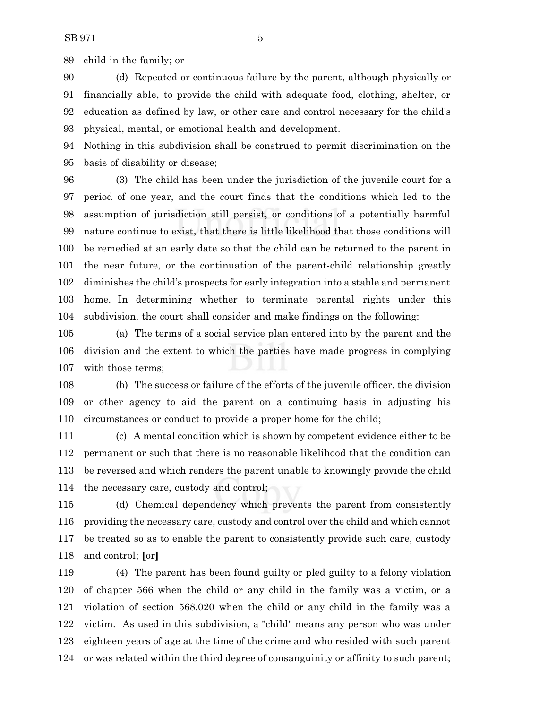child in the family; or

 (d) Repeated or continuous failure by the parent, although physically or financially able, to provide the child with adequate food, clothing, shelter, or education as defined by law, or other care and control necessary for the child's physical, mental, or emotional health and development.

 Nothing in this subdivision shall be construed to permit discrimination on the basis of disability or disease;

 (3) The child has been under the jurisdiction of the juvenile court for a period of one year, and the court finds that the conditions which led to the assumption of jurisdiction still persist, or conditions of a potentially harmful nature continue to exist, that there is little likelihood that those conditions will be remedied at an early date so that the child can be returned to the parent in the near future, or the continuation of the parent-child relationship greatly diminishes the child's prospects for early integration into a stable and permanent home. In determining whether to terminate parental rights under this subdivision, the court shall consider and make findings on the following:

 (a) The terms of a social service plan entered into by the parent and the division and the extent to which the parties have made progress in complying with those terms;

 (b) The success or failure of the efforts of the juvenile officer, the division or other agency to aid the parent on a continuing basis in adjusting his circumstances or conduct to provide a proper home for the child;

 (c) A mental condition which is shown by competent evidence either to be permanent or such that there is no reasonable likelihood that the condition can be reversed and which renders the parent unable to knowingly provide the child the necessary care, custody and control;

 (d) Chemical dependency which prevents the parent from consistently providing the necessary care, custody and control over the child and which cannot be treated so as to enable the parent to consistently provide such care, custody and control; **[**or**]**

 (4) The parent has been found guilty or pled guilty to a felony violation of chapter 566 when the child or any child in the family was a victim, or a violation of section 568.020 when the child or any child in the family was a victim. As used in this subdivision, a "child" means any person who was under eighteen years of age at the time of the crime and who resided with such parent or was related within the third degree of consanguinity or affinity to such parent;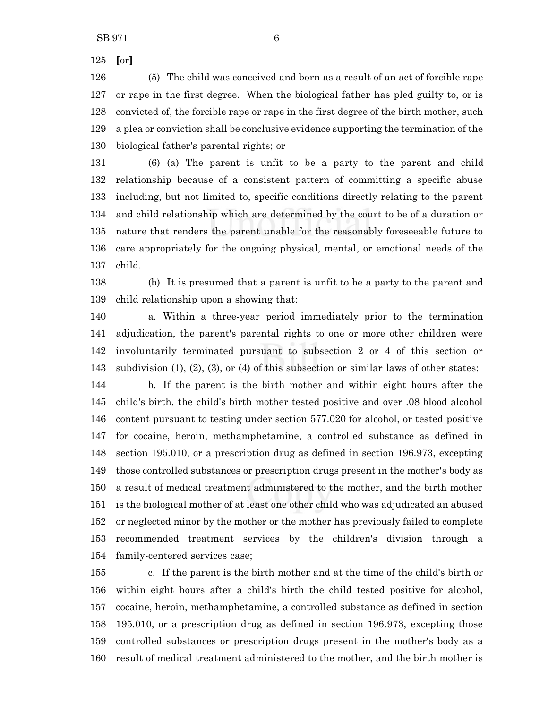**[**or**]**

 (5) The child was conceived and born as a result of an act of forcible rape or rape in the first degree. When the biological father has pled guilty to, or is convicted of, the forcible rape or rape in the first degree of the birth mother, such a plea or conviction shall be conclusive evidence supporting the termination of the biological father's parental rights; or

 (6) (a) The parent is unfit to be a party to the parent and child relationship because of a consistent pattern of committing a specific abuse including, but not limited to, specific conditions directly relating to the parent and child relationship which are determined by the court to be of a duration or nature that renders the parent unable for the reasonably foreseeable future to care appropriately for the ongoing physical, mental, or emotional needs of the child.

 (b) It is presumed that a parent is unfit to be a party to the parent and child relationship upon a showing that:

 a. Within a three-year period immediately prior to the termination adjudication, the parent's parental rights to one or more other children were involuntarily terminated pursuant to subsection 2 or 4 of this section or subdivision (1), (2), (3), or (4) of this subsection or similar laws of other states;

 b. If the parent is the birth mother and within eight hours after the child's birth, the child's birth mother tested positive and over .08 blood alcohol content pursuant to testing under section 577.020 for alcohol, or tested positive for cocaine, heroin, methamphetamine, a controlled substance as defined in section 195.010, or a prescription drug as defined in section 196.973, excepting those controlled substances or prescription drugs present in the mother's body as a result of medical treatment administered to the mother, and the birth mother is the biological mother of at least one other child who was adjudicated an abused or neglected minor by the mother or the mother has previously failed to complete recommended treatment services by the children's division through a family-centered services case;

 c. If the parent is the birth mother and at the time of the child's birth or within eight hours after a child's birth the child tested positive for alcohol, cocaine, heroin, methamphetamine, a controlled substance as defined in section 195.010, or a prescription drug as defined in section 196.973, excepting those controlled substances or prescription drugs present in the mother's body as a result of medical treatment administered to the mother, and the birth mother is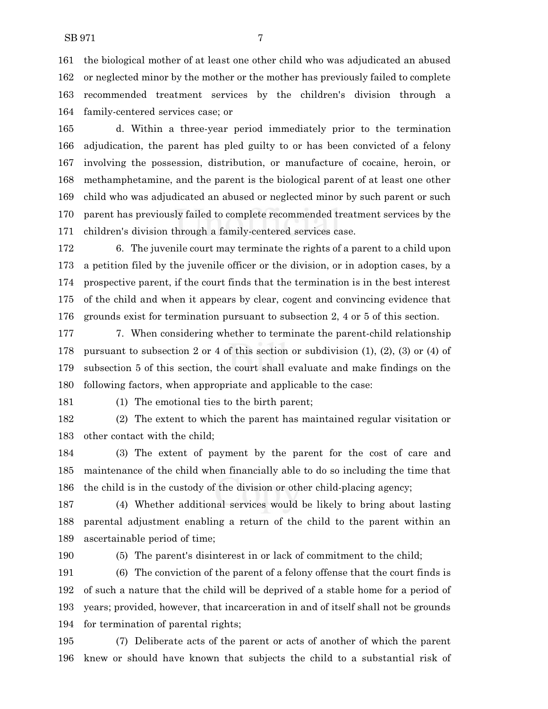the biological mother of at least one other child who was adjudicated an abused or neglected minor by the mother or the mother has previously failed to complete recommended treatment services by the children's division through a family-centered services case; or

 d. Within a three-year period immediately prior to the termination adjudication, the parent has pled guilty to or has been convicted of a felony involving the possession, distribution, or manufacture of cocaine, heroin, or methamphetamine, and the parent is the biological parent of at least one other child who was adjudicated an abused or neglected minor by such parent or such parent has previously failed to complete recommended treatment services by the children's division through a family-centered services case.

 6. The juvenile court may terminate the rights of a parent to a child upon a petition filed by the juvenile officer or the division, or in adoption cases, by a prospective parent, if the court finds that the termination is in the best interest of the child and when it appears by clear, cogent and convincing evidence that grounds exist for termination pursuant to subsection 2, 4 or 5 of this section.

177 177 177 7. When considering whether to terminate the parent-child relationship pursuant to subsection 2 or 4 of this section or subdivision (1), (2), (3) or (4) of subsection 5 of this section, the court shall evaluate and make findings on the following factors, when appropriate and applicable to the case:

(1) The emotional ties to the birth parent;

 (2) The extent to which the parent has maintained regular visitation or other contact with the child;

 (3) The extent of payment by the parent for the cost of care and maintenance of the child when financially able to do so including the time that the child is in the custody of the division or other child-placing agency;

 (4) Whether additional services would be likely to bring about lasting parental adjustment enabling a return of the child to the parent within an ascertainable period of time;

(5) The parent's disinterest in or lack of commitment to the child;

 (6) The conviction of the parent of a felony offense that the court finds is of such a nature that the child will be deprived of a stable home for a period of years; provided, however, that incarceration in and of itself shall not be grounds for termination of parental rights;

 (7) Deliberate acts of the parent or acts of another of which the parent knew or should have known that subjects the child to a substantial risk of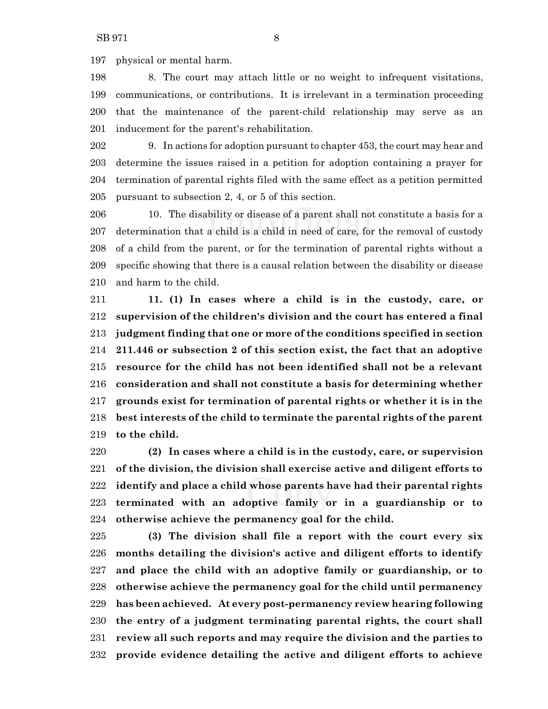physical or mental harm.

 8. The court may attach little or no weight to infrequent visitations, communications, or contributions. It is irrelevant in a termination proceeding that the maintenance of the parent-child relationship may serve as an inducement for the parent's rehabilitation.

 9. In actions for adoption pursuant to chapter 453, the court may hear and determine the issues raised in a petition for adoption containing a prayer for termination of parental rights filed with the same effect as a petition permitted pursuant to subsection 2, 4, or 5 of this section.

 10. The disability or disease of a parent shall not constitute a basis for a determination that a child is a child in need of care, for the removal of custody of a child from the parent, or for the termination of parental rights without a specific showing that there is a causal relation between the disability or disease and harm to the child.

 **11. (1) In cases where a child is in the custody, care, or supervision of the children's division and the court has entered a final judgment finding that one or more of the conditions specified in section 211.446 or subsection 2 of this section exist, the fact that an adoptive resource for the child has not been identified shall not be a relevant consideration and shall not constitute a basis for determining whether grounds exist for termination of parental rights or whether it is in the best interests of the child to terminate the parental rights of the parent to the child.**

 **(2) In cases where a child is in the custody, care, or supervision of the division, the division shall exercise active and diligent efforts to identify and place a child whose parents have had their parental rights terminated with an adoptive family or in a guardianship or to otherwise achieve the permanency goal for the child.**

 **(3) The division shall file a report with the court every six months detailing the division's active and diligent efforts to identify and place the child with an adoptive family or guardianship, or to otherwise achieve the permanency goal for the child until permanency has been achieved. At every post-permanency review hearing following the entry of a judgment terminating parental rights, the court shall review all such reports and may require the division and the parties to provide evidence detailing the active and diligent efforts to achieve**